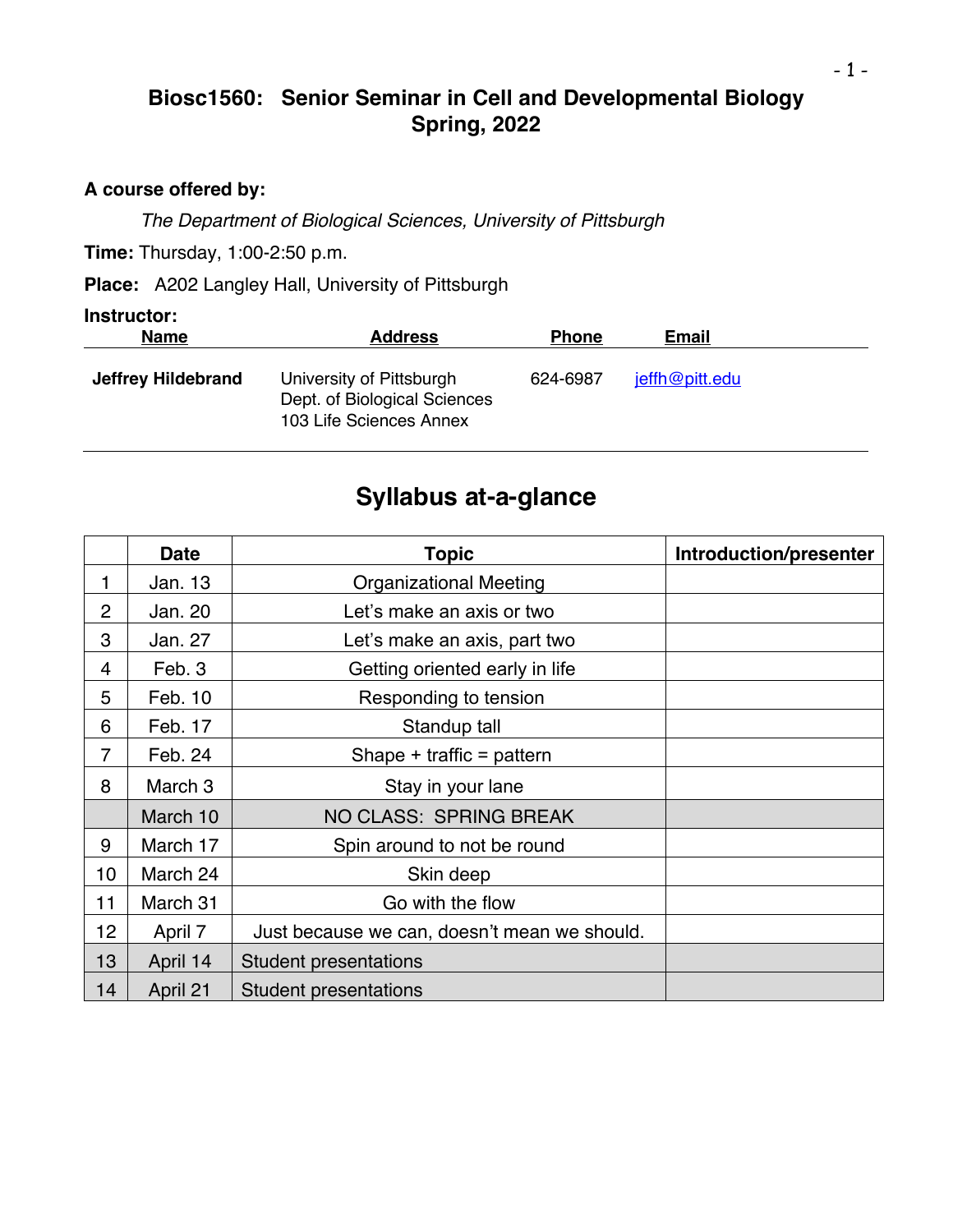# **Biosc1560: Senior Seminar in Cell and Developmental Biology Spring, 2022**

### **A course offered by:**

*The Department of Biological Sciences, University of Pittsburgh*

**Time:** Thursday, 1:00-2:50 p.m.

**Place:** A202 Langley Hall, University of Pittsburgh

#### **Instructor:**

| <b>Name</b>               | <b>Address</b>                                                                      | <b>Phone</b> | <b>Email</b>   |  |
|---------------------------|-------------------------------------------------------------------------------------|--------------|----------------|--|
| <b>Jeffrey Hildebrand</b> | University of Pittsburgh<br>Dept. of Biological Sciences<br>103 Life Sciences Annex | 624-6987     | jeffh@pitt.edu |  |

# **Syllabus at-a-glance**

|                 | <b>Date</b> | <b>Topic</b>                                 | Introduction/presenter |
|-----------------|-------------|----------------------------------------------|------------------------|
| 1               | Jan. 13     | <b>Organizational Meeting</b>                |                        |
| $\overline{2}$  | Jan. 20     | Let's make an axis or two                    |                        |
| 3               | Jan. 27     | Let's make an axis, part two                 |                        |
| 4               | Feb. 3      | Getting oriented early in life               |                        |
| 5               | Feb. 10     | Responding to tension                        |                        |
| 6               | Feb. 17     | Standup tall                                 |                        |
| $\overline{7}$  | Feb. 24     | Shape + traffic = pattern                    |                        |
| 8               | March 3     | Stay in your lane                            |                        |
|                 | March 10    | NO CLASS: SPRING BREAK                       |                        |
| 9               | March 17    | Spin around to not be round                  |                        |
| 10 <sup>1</sup> | March 24    | Skin deep                                    |                        |
| 11              | March 31    | Go with the flow                             |                        |
| 12              | April 7     | Just because we can, doesn't mean we should. |                        |
| 13              | April 14    | <b>Student presentations</b>                 |                        |
| 14              | April 21    | <b>Student presentations</b>                 |                        |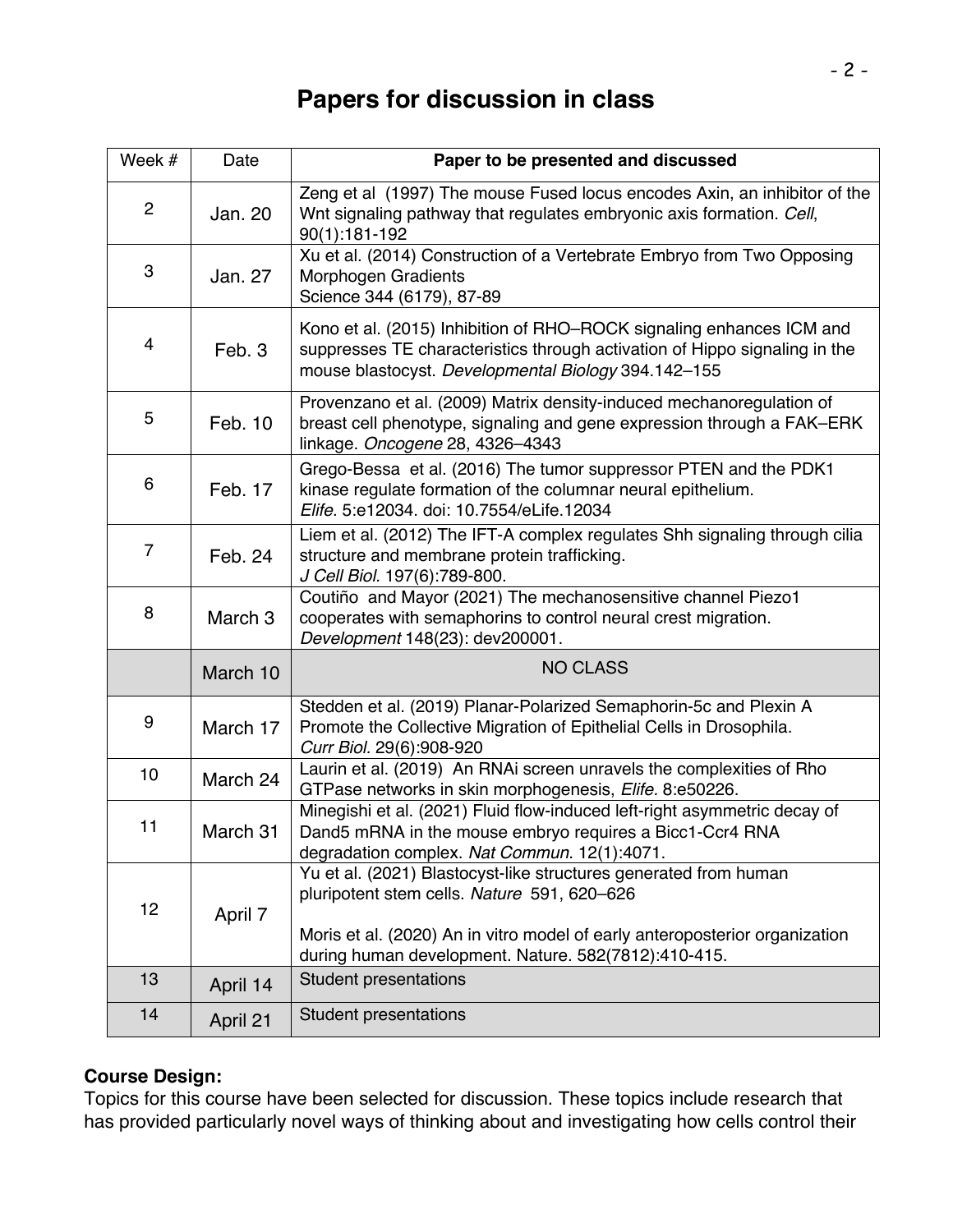# **Papers for discussion in class**

| Week #         | Date               | Paper to be presented and discussed                                                                                                                                                                                                                    |  |
|----------------|--------------------|--------------------------------------------------------------------------------------------------------------------------------------------------------------------------------------------------------------------------------------------------------|--|
| $\overline{2}$ | Jan. 20            | Zeng et al (1997) The mouse Fused locus encodes Axin, an inhibitor of the<br>Wnt signaling pathway that regulates embryonic axis formation. Cell,<br>90(1):181-192                                                                                     |  |
| 3              | Jan. 27            | Xu et al. (2014) Construction of a Vertebrate Embryo from Two Opposing<br><b>Morphogen Gradients</b><br>Science 344 (6179), 87-89                                                                                                                      |  |
| 4              | Feb. 3             | Kono et al. (2015) Inhibition of RHO-ROCK signaling enhances ICM and<br>suppresses TE characteristics through activation of Hippo signaling in the<br>mouse blastocyst. Developmental Biology 394.142-155                                              |  |
| 5              | Feb. 10            | Provenzano et al. (2009) Matrix density-induced mechanoregulation of<br>breast cell phenotype, signaling and gene expression through a FAK-ERK<br>linkage. Oncogene 28, 4326-4343                                                                      |  |
| 6              | Feb. 17            | Grego-Bessa et al. (2016) The tumor suppressor PTEN and the PDK1<br>kinase regulate formation of the columnar neural epithelium.<br>Elife. 5:e12034. doi: 10.7554/eLife.12034                                                                          |  |
| $\overline{7}$ | Feb. 24            | Liem et al. (2012) The IFT-A complex regulates Shh signaling through cilia<br>structure and membrane protein trafficking.<br>J Cell Biol. 197(6):789-800.                                                                                              |  |
| 8              | March <sub>3</sub> | Coutiño and Mayor (2021) The mechanosensitive channel Piezo1<br>cooperates with semaphorins to control neural crest migration.<br>Development 148(23): dev200001.                                                                                      |  |
|                | March 10           | <b>NO CLASS</b>                                                                                                                                                                                                                                        |  |
| 9              | March 17           | Stedden et al. (2019) Planar-Polarized Semaphorin-5c and Plexin A<br>Promote the Collective Migration of Epithelial Cells in Drosophila.<br>Curr Biol. 29(6):908-920                                                                                   |  |
| 10             | March 24           | Laurin et al. (2019) An RNAi screen unravels the complexities of Rho<br>GTPase networks in skin morphogenesis, Elife. 8:e50226.                                                                                                                        |  |
| 11             | March 31           | Minegishi et al. (2021) Fluid flow-induced left-right asymmetric decay of<br>Dand5 mRNA in the mouse embryo requires a Bicc1-Ccr4 RNA<br>degradation complex. Nat Commun. 12(1):4071.                                                                  |  |
| 12             | April 7            | Yu et al. (2021) Blastocyst-like structures generated from human<br>pluripotent stem cells. Nature 591, 620-626<br>Moris et al. (2020) An in vitro model of early anteroposterior organization<br>during human development. Nature. 582(7812):410-415. |  |
| 13             | April 14           | <b>Student presentations</b>                                                                                                                                                                                                                           |  |
| 14             | April 21           | Student presentations                                                                                                                                                                                                                                  |  |

## **Course Design:**

Topics for this course have been selected for discussion. These topics include research that has provided particularly novel ways of thinking about and investigating how cells control their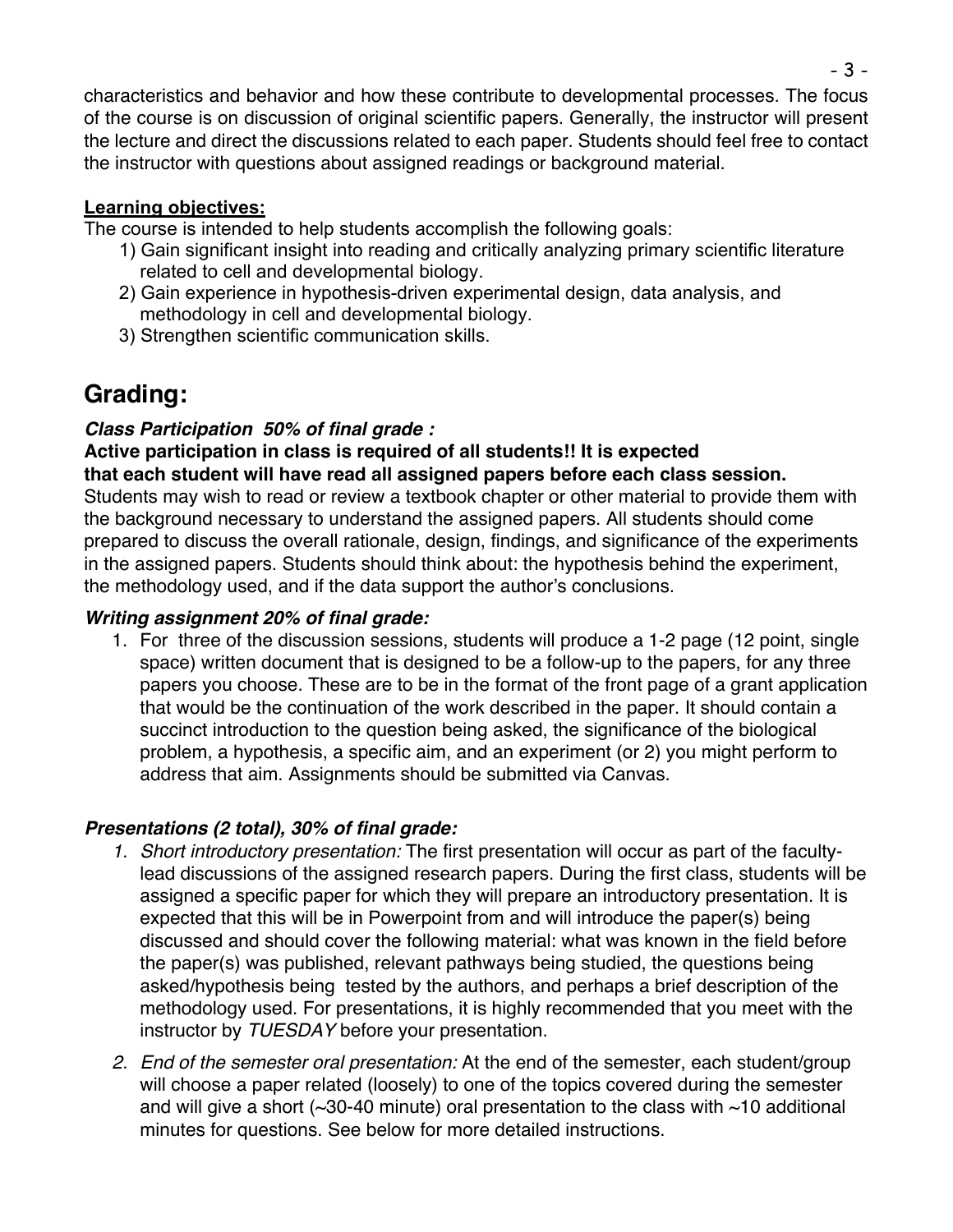characteristics and behavior and how these contribute to developmental processes. The focus of the course is on discussion of original scientific papers. Generally, the instructor will present the lecture and direct the discussions related to each paper. Students should feel free to contact the instructor with questions about assigned readings or background material.

### **Learning objectives:**

The course is intended to help students accomplish the following goals:

- 1) Gain significant insight into reading and critically analyzing primary scientific literature related to cell and developmental biology.
- 2) Gain experience in hypothesis-driven experimental design, data analysis, and methodology in cell and developmental biology.
- 3) Strengthen scientific communication skills.

# **Grading:**

# *Class Participation 50% of final grade :*

**Active participation in class is required of all students!! It is expected that each student will have read all assigned papers before each class session.** Students may wish to read or review a textbook chapter or other material to provide them with

the background necessary to understand the assigned papers. All students should come prepared to discuss the overall rationale, design, findings, and significance of the experiments in the assigned papers. Students should think about: the hypothesis behind the experiment, the methodology used, and if the data support the author's conclusions.

# *Writing assignment 20% of final grade:*

1. For three of the discussion sessions, students will produce a 1-2 page (12 point, single space) written document that is designed to be a follow-up to the papers, for any three papers you choose. These are to be in the format of the front page of a grant application that would be the continuation of the work described in the paper. It should contain a succinct introduction to the question being asked, the significance of the biological problem, a hypothesis, a specific aim, and an experiment (or 2) you might perform to address that aim. Assignments should be submitted via Canvas.

# *Presentations (2 total), 30% of final grade:*

- *1. Short introductory presentation:* The first presentation will occur as part of the facultylead discussions of the assigned research papers. During the first class, students will be assigned a specific paper for which they will prepare an introductory presentation. It is expected that this will be in Powerpoint from and will introduce the paper(s) being discussed and should cover the following material: what was known in the field before the paper(s) was published, relevant pathways being studied, the questions being asked/hypothesis being tested by the authors, and perhaps a brief description of the methodology used. For presentations, it is highly recommended that you meet with the instructor by *TUESDAY* before your presentation.
- *2. End of the semester oral presentation:* At the end of the semester, each student/group will choose a paper related (loosely) to one of the topics covered during the semester and will give a short ( $\sim$ 30-40 minute) oral presentation to the class with  $\sim$ 10 additional minutes for questions. See below for more detailed instructions.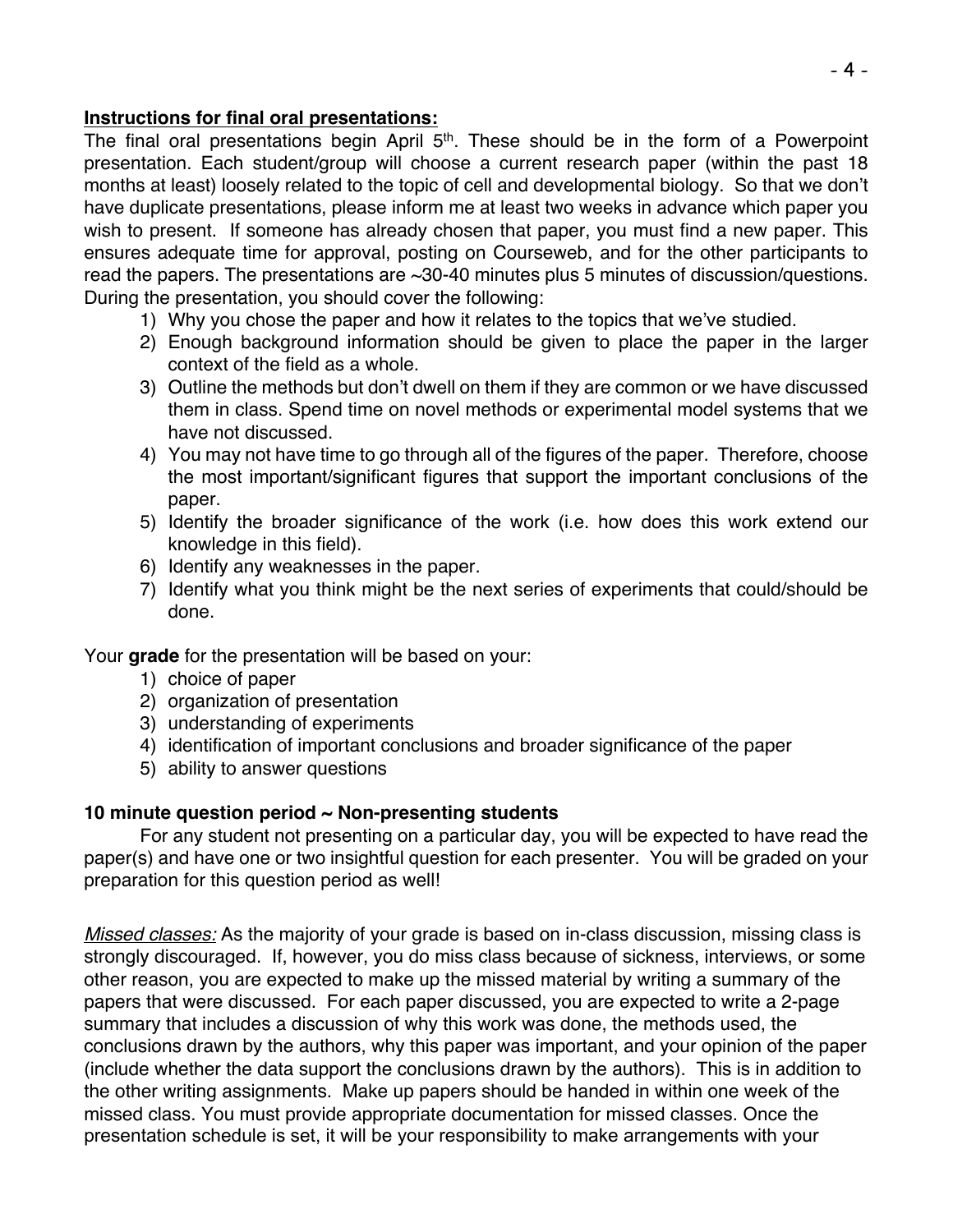#### **Instructions for final oral presentations:**

The final oral presentations begin April  $5<sup>th</sup>$ . These should be in the form of a Powerpoint presentation. Each student/group will choose a current research paper (within the past 18 months at least) loosely related to the topic of cell and developmental biology. So that we don't have duplicate presentations, please inform me at least two weeks in advance which paper you wish to present. If someone has already chosen that paper, you must find a new paper. This ensures adequate time for approval, posting on Courseweb, and for the other participants to read the papers. The presentations are ~30-40 minutes plus 5 minutes of discussion/questions. During the presentation, you should cover the following:

- 1) Why you chose the paper and how it relates to the topics that we've studied.
- 2) Enough background information should be given to place the paper in the larger context of the field as a whole.
- 3) Outline the methods but don't dwell on them if they are common or we have discussed them in class. Spend time on novel methods or experimental model systems that we have not discussed.
- 4) You may not have time to go through all of the figures of the paper. Therefore, choose the most important/significant figures that support the important conclusions of the paper.
- 5) Identify the broader significance of the work (i.e. how does this work extend our knowledge in this field).
- 6) Identify any weaknesses in the paper.
- 7) Identify what you think might be the next series of experiments that could/should be done.

Your **grade** for the presentation will be based on your:

- 1) choice of paper
- 2) organization of presentation
- 3) understanding of experiments
- 4) identification of important conclusions and broader significance of the paper
- 5) ability to answer questions

# **10 minute question period ~ Non-presenting students**

For any student not presenting on a particular day, you will be expected to have read the paper(s) and have one or two insightful question for each presenter. You will be graded on your preparation for this question period as well!

*Missed classes:* As the majority of your grade is based on in-class discussion, missing class is strongly discouraged. If, however, you do miss class because of sickness, interviews, or some other reason, you are expected to make up the missed material by writing a summary of the papers that were discussed. For each paper discussed, you are expected to write a 2-page summary that includes a discussion of why this work was done, the methods used, the conclusions drawn by the authors, why this paper was important, and your opinion of the paper (include whether the data support the conclusions drawn by the authors). This is in addition to the other writing assignments. Make up papers should be handed in within one week of the missed class. You must provide appropriate documentation for missed classes. Once the presentation schedule is set, it will be your responsibility to make arrangements with your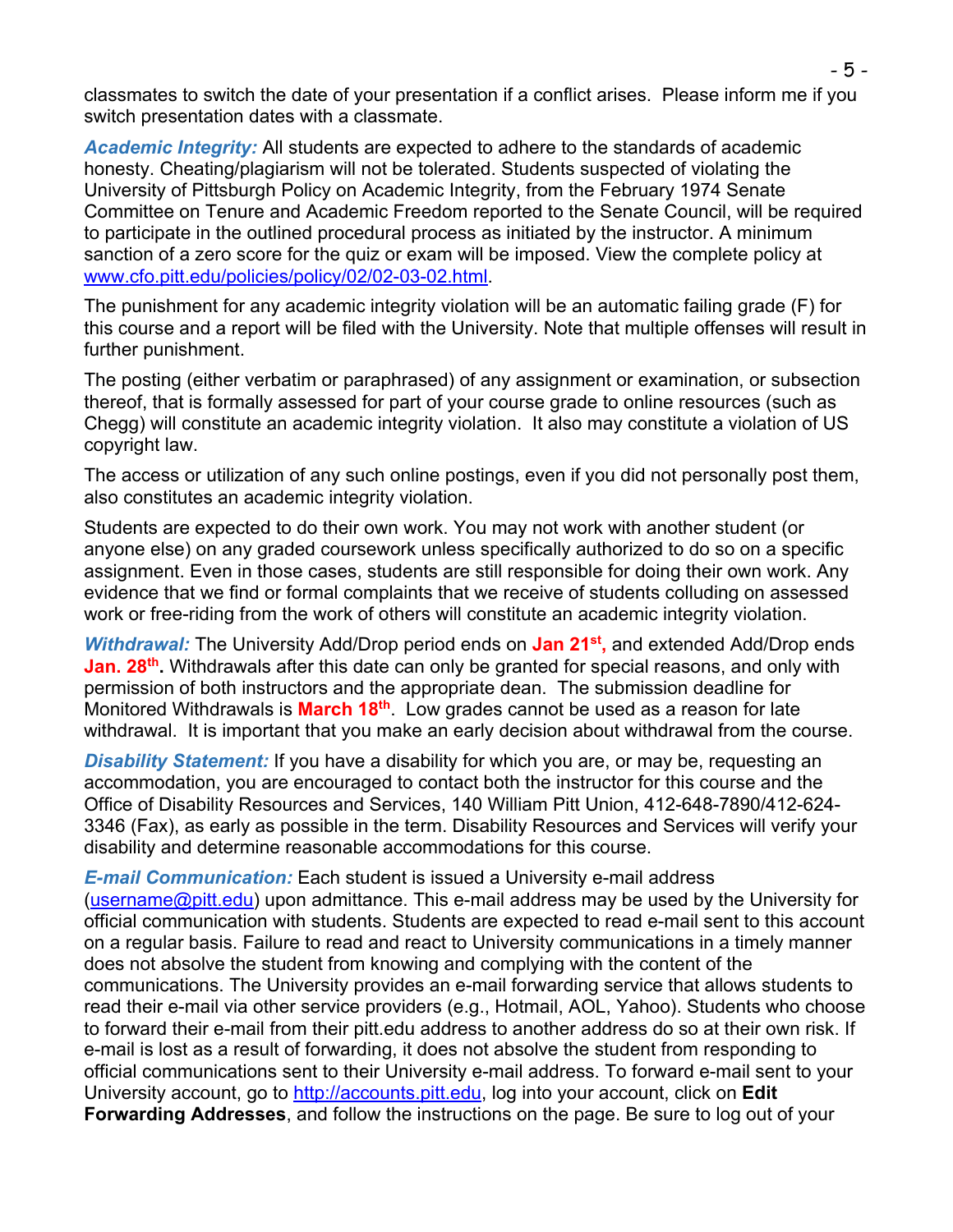classmates to switch the date of your presentation if a conflict arises. Please inform me if you switch presentation dates with a classmate.

*Academic Integrity:* All students are expected to adhere to the standards of academic honesty. Cheating/plagiarism will not be tolerated. Students suspected of violating the University of Pittsburgh Policy on Academic Integrity, from the February 1974 Senate Committee on Tenure and Academic Freedom reported to the Senate Council, will be required to participate in the outlined procedural process as initiated by the instructor. A minimum sanction of a zero score for the quiz or exam will be imposed. View the complete policy at www.cfo.pitt.edu/policies/policy/02/02-03-02.html.

The punishment for any academic integrity violation will be an automatic failing grade (F) for this course and a report will be filed with the University. Note that multiple offenses will result in further punishment.

The posting (either verbatim or paraphrased) of any assignment or examination, or subsection thereof, that is formally assessed for part of your course grade to online resources (such as Chegg) will constitute an academic integrity violation. It also may constitute a violation of US copyright law.

The access or utilization of any such online postings, even if you did not personally post them, also constitutes an academic integrity violation.

Students are expected to do their own work. You may not work with another student (or anyone else) on any graded coursework unless specifically authorized to do so on a specific assignment. Even in those cases, students are still responsible for doing their own work. Any evidence that we find or formal complaints that we receive of students colluding on assessed work or free-riding from the work of others will constitute an academic integrity violation.

*Withdrawal:* The University Add/Drop period ends on **Jan 21st,** and extended Add/Drop ends Jan. 28<sup>th</sup>. Withdrawals after this date can only be granted for special reasons, and only with permission of both instructors and the appropriate dean. The submission deadline for Monitored Withdrawals is **March 18th**. Low grades cannot be used as a reason for late withdrawal. It is important that you make an early decision about withdrawal from the course.

**Disability Statement:** If you have a disability for which you are, or may be, requesting an accommodation, you are encouraged to contact both the instructor for this course and the Office of Disability Resources and Services, 140 William Pitt Union, 412-648-7890/412-624- 3346 (Fax), as early as possible in the term. Disability Resources and Services will verify your disability and determine reasonable accommodations for this course.

*E-mail Communication:* Each student is issued a University e-mail address (username@pitt.edu) upon admittance. This e-mail address may be used by the University for official communication with students. Students are expected to read e-mail sent to this account on a regular basis. Failure to read and react to University communications in a timely manner does not absolve the student from knowing and complying with the content of the communications. The University provides an e-mail forwarding service that allows students to read their e-mail via other service providers (e.g., Hotmail, AOL, Yahoo). Students who choose to forward their e-mail from their pitt.edu address to another address do so at their own risk. If e-mail is lost as a result of forwarding, it does not absolve the student from responding to official communications sent to their University e-mail address. To forward e-mail sent to your University account, go to http://accounts.pitt.edu, log into your account, click on **Edit Forwarding Addresses**, and follow the instructions on the page. Be sure to log out of your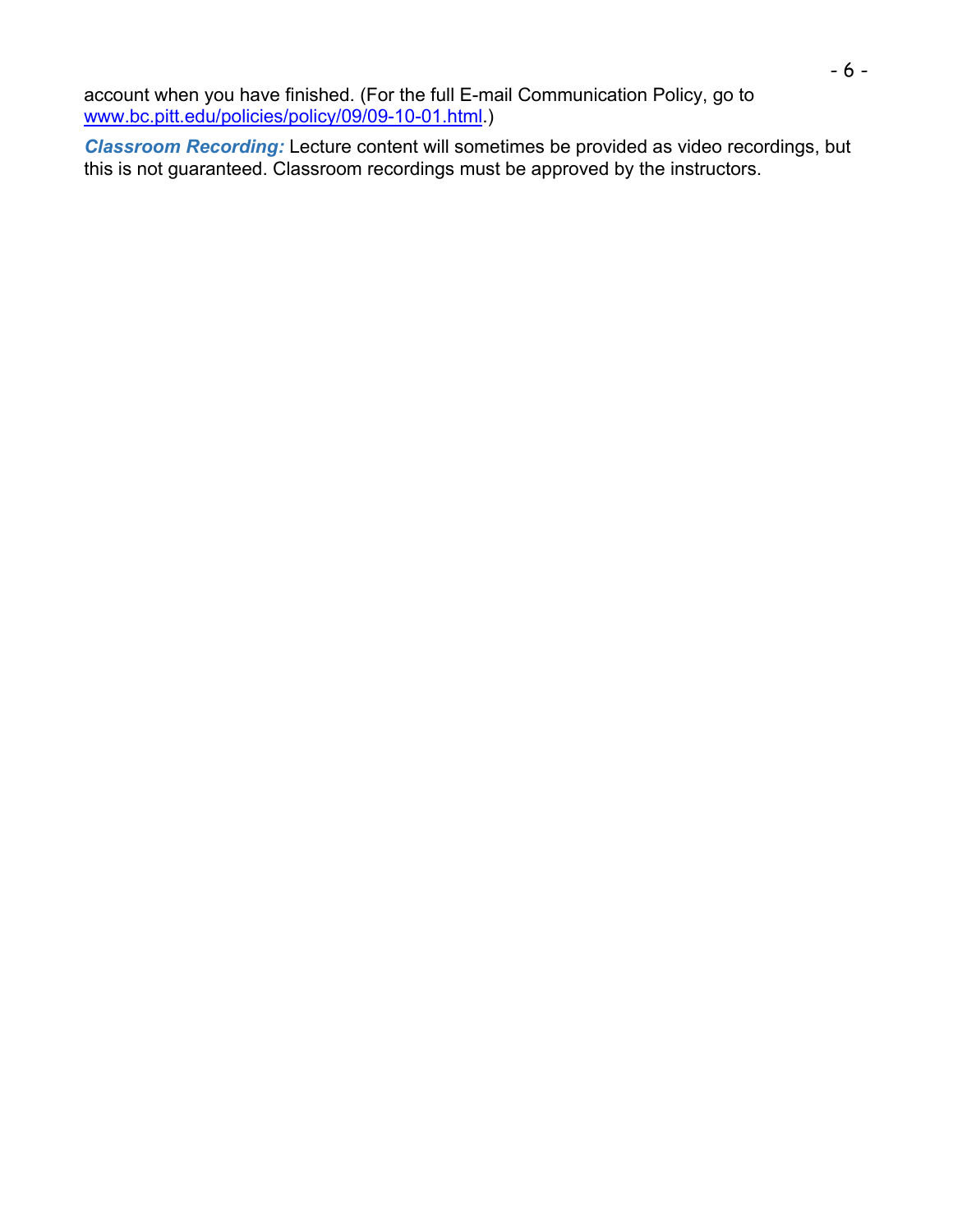account when you have finished. (For the full E-mail Communication Policy, go to www.bc.pitt.edu/policies/policy/09/09-10-01.html.)

*Classroom Recording:* Lecture content will sometimes be provided as video recordings, but this is not guaranteed. Classroom recordings must be approved by the instructors.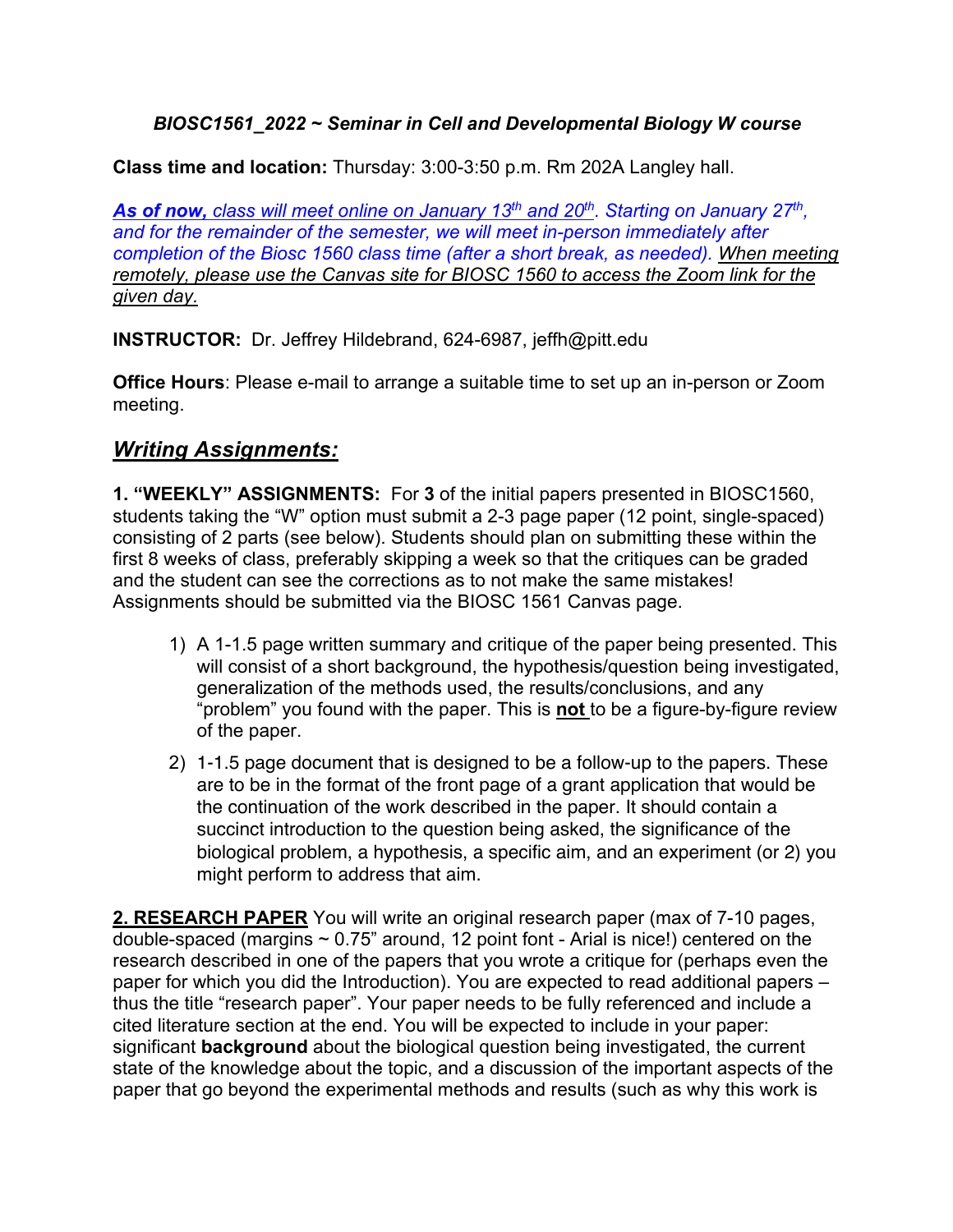## *BIOSC1561\_2022 ~ Seminar in Cell and Developmental Biology W course*

**Class time and location:** Thursday: 3:00-3:50 p.m. Rm 202A Langley hall.

*As of now, class will meet online on January 13th and 20th. Starting on January 27th, and for the remainder of the semester, we will meet in-person immediately after completion of the Biosc 1560 class time (after a short break, as needed). When meeting remotely, please use the Canvas site for BIOSC 1560 to access the Zoom link for the given day.*

**INSTRUCTOR:** Dr. Jeffrey Hildebrand, 624-6987, jeffh@pitt.edu

**Office Hours**: Please e-mail to arrange a suitable time to set up an in-person or Zoom meeting.

# *Writing Assignments:*

**1. "WEEKLY" ASSIGNMENTS:** For **3** of the initial papers presented in BIOSC1560, students taking the "W" option must submit a 2-3 page paper (12 point, single-spaced) consisting of 2 parts (see below). Students should plan on submitting these within the first 8 weeks of class, preferably skipping a week so that the critiques can be graded and the student can see the corrections as to not make the same mistakes! Assignments should be submitted via the BIOSC 1561 Canvas page.

- 1) A 1-1.5 page written summary and critique of the paper being presented. This will consist of a short background, the hypothesis/question being investigated, generalization of the methods used, the results/conclusions, and any "problem" you found with the paper. This is **not** to be a figure-by-figure review of the paper.
- 2) 1-1.5 page document that is designed to be a follow-up to the papers. These are to be in the format of the front page of a grant application that would be the continuation of the work described in the paper. It should contain a succinct introduction to the question being asked, the significance of the biological problem, a hypothesis, a specific aim, and an experiment (or 2) you might perform to address that aim.

**2. RESEARCH PAPER** You will write an original research paper (max of 7-10 pages, double-spaced (margins  $\sim 0.75$ " around, 12 point font - Arial is nice!) centered on the research described in one of the papers that you wrote a critique for (perhaps even the paper for which you did the Introduction). You are expected to read additional papers – thus the title "research paper". Your paper needs to be fully referenced and include a cited literature section at the end. You will be expected to include in your paper: significant **background** about the biological question being investigated, the current state of the knowledge about the topic, and a discussion of the important aspects of the paper that go beyond the experimental methods and results (such as why this work is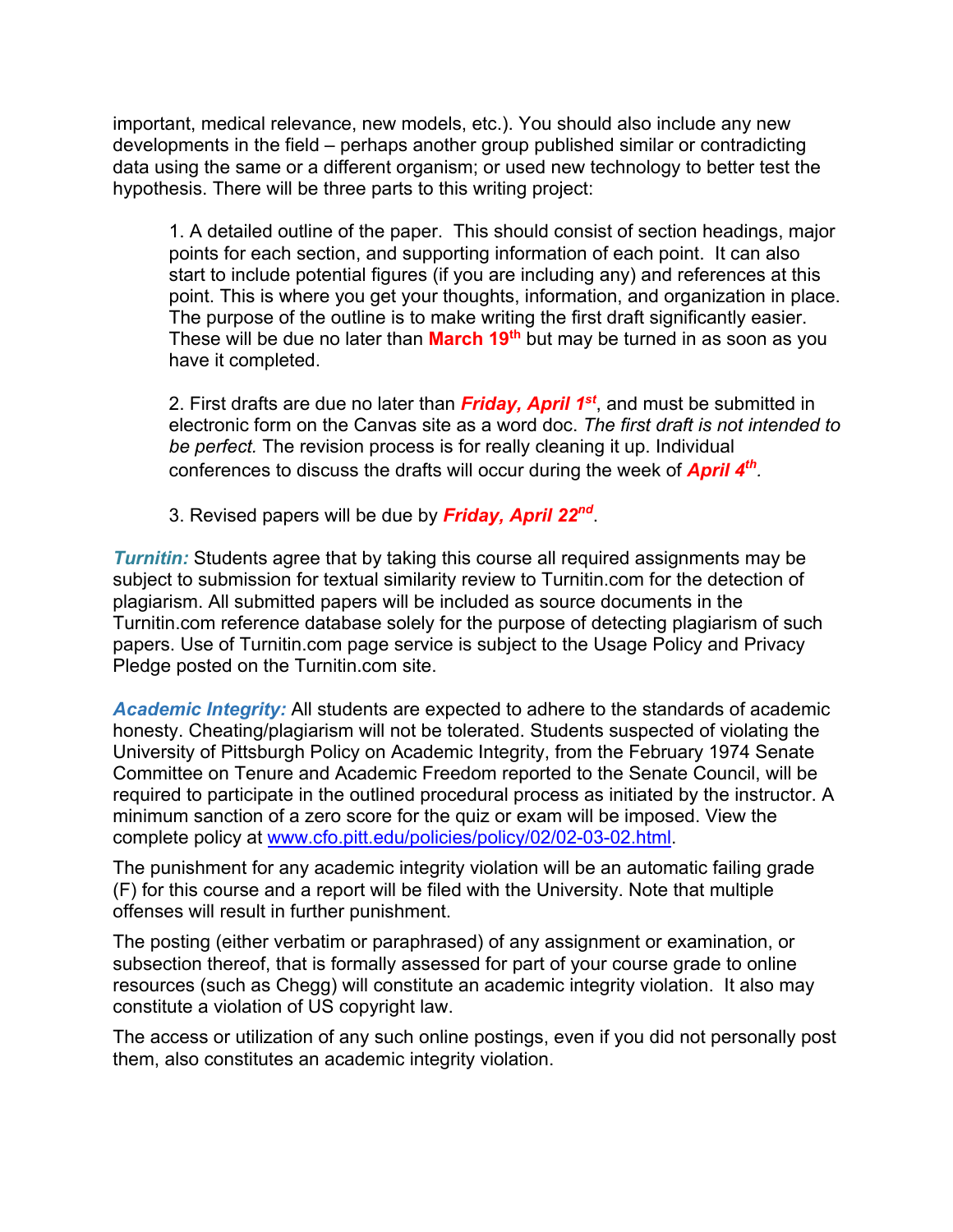important, medical relevance, new models, etc.). You should also include any new developments in the field – perhaps another group published similar or contradicting data using the same or a different organism; or used new technology to better test the hypothesis. There will be three parts to this writing project:

1. A detailed outline of the paper. This should consist of section headings, major points for each section, and supporting information of each point. It can also start to include potential figures (if you are including any) and references at this point. This is where you get your thoughts, information, and organization in place. The purpose of the outline is to make writing the first draft significantly easier. These will be due no later than **March 19th** but may be turned in as soon as you have it completed.

2. First drafts are due no later than *Friday, April 1st*, and must be submitted in electronic form on the Canvas site as a word doc. *The first draft is not intended to be perfect.* The revision process is for really cleaning it up. Individual conferences to discuss the drafts will occur during the week of *April 4th.* 

3. Revised papers will be due by *Friday, April 22nd*.

*Turnitin:* Students agree that by taking this course all required assignments may be subject to submission for textual similarity review to Turnitin.com for the detection of plagiarism. All submitted papers will be included as source documents in the Turnitin.com reference database solely for the purpose of detecting plagiarism of such papers. Use of Turnitin.com page service is subject to the Usage Policy and Privacy Pledge posted on the Turnitin.com site.

*Academic Integrity:* All students are expected to adhere to the standards of academic honesty. Cheating/plagiarism will not be tolerated. Students suspected of violating the University of Pittsburgh Policy on Academic Integrity, from the February 1974 Senate Committee on Tenure and Academic Freedom reported to the Senate Council, will be required to participate in the outlined procedural process as initiated by the instructor. A minimum sanction of a zero score for the quiz or exam will be imposed. View the complete policy at www.cfo.pitt.edu/policies/policy/02/02-03-02.html.

The punishment for any academic integrity violation will be an automatic failing grade (F) for this course and a report will be filed with the University. Note that multiple offenses will result in further punishment.

The posting (either verbatim or paraphrased) of any assignment or examination, or subsection thereof, that is formally assessed for part of your course grade to online resources (such as Chegg) will constitute an academic integrity violation. It also may constitute a violation of US copyright law.

The access or utilization of any such online postings, even if you did not personally post them, also constitutes an academic integrity violation.